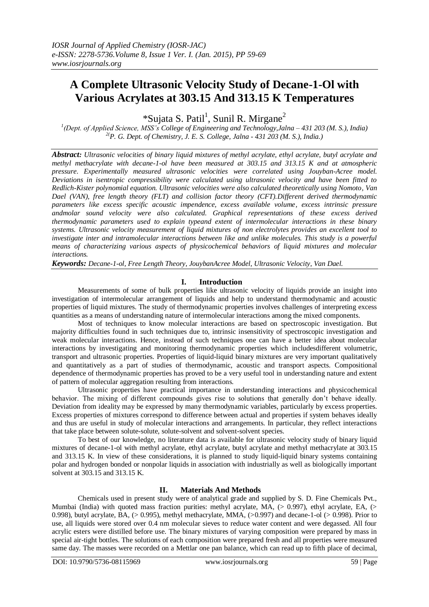# **A Complete Ultrasonic Velocity Study of Decane-1-Ol with Various Acrylates at 303.15 And 313.15 K Temperatures**

\*Sujata S. Patil<sup>1</sup>, Sunil R. Mirgane<sup>2</sup>

*1 (Dept. of Applied Science, MSS's College of Engineering and Technology,Jalna – 431 203 (M. S.), India) 2(P. G. Dept. of Chemistry, J. E. S. College, Jalna - 431 203 (M. S.), India.)*

*Abstract: Ultrasonic velocities of binary liquid mixtures of methyl acrylate, ethyl acrylate, butyl acrylate and methyl methacrylate with decane-1-ol have been measured at 303.15 and 313.15 K and at atmospheric pressure. Experimentally measured ultrasonic velocities were correlated using Jouyban-Acree model. Deviations in isentropic compressibility were calculated using ultrasonic velocity and have been fitted to Redlich-Kister polynomial equation. Ultrasonic velocities were also calculated theoretically using Nomoto, Van Dael (VAN), free length theory (FLT) and collision factor theory (CFT).Different derived thermodynamic parameters like excess specific acoustic impendence, excess available volume, excess intrinsic pressure andmolar sound velocity were also calculated. Graphical representations of these excess derived thermodynamic parameters used to explain typeand extent of intermolecular interactions in these binary systems. Ultrasonic velocity measurement of liquid mixtures of non electrolytes provides an excellent tool to investigate inter and intramolecular interactions between like and unlike molecules. This study is a powerful means of characterizing various aspects of physicochemical behaviors of liquid mixtures and molecular interactions.*

*Keywords: Decane-1-ol, Free Length Theory, JouybanAcree Model, Ultrasonic Velocity, Van Dael.*

## **I. Introduction**

Measurements of some of bulk properties like ultrasonic velocity of liquids provide an insight into investigation of intermolecular arrangement of liquids and help to understand thermodynamic and acoustic properties of liquid mixtures. The study of thermodynamic properties involves challenges of interpreting excess quantities as a means of understanding nature of intermolecular interactions among the mixed components.

Most of techniques to know molecular interactions are based on spectroscopic investigation. But majority difficulties found in such techniques due to, intrinsic insensitivity of spectroscopic investigation and weak molecular interactions. Hence, instead of such techniques one can have a better idea about molecular interactions by investigating and monitoring thermodynamic properties which includesdifferent volumetric, transport and ultrasonic properties. Properties of liquid-liquid binary mixtures are very important qualitatively and quantitatively as a part of studies of thermodynamic, acoustic and transport aspects. Compositional dependence of thermodynamic properties has proved to be a very useful tool in understanding nature and extent of pattern of molecular aggregation resulting from interactions.

Ultrasonic properties have practical importance in understanding interactions and physicochemical behavior. The mixing of different compounds gives rise to solutions that generally don't behave ideally. Deviation from ideality may be expressed by many thermodynamic variables, particularly by excess properties. Excess properties of mixtures correspond to difference between actual and properties if system behaves ideally and thus are useful in study of molecular interactions and arrangements. In particular, they reflect interactions that take place between solute-solute, solute-solvent and solvent-solvent species.

To best of our knowledge, no literature data is available for ultrasonic velocity study of binary liquid mixtures of decane-1-ol with methyl acrylate, ethyl acrylate, butyl acrylate and methyl methacrylate at 303.15 and 313.15 K. In view of these considerations, it is planned to study liquid-liquid binary systems containing polar and hydrogen bonded or nonpolar liquids in association with industrially as well as biologically important solvent at 303.15 and 313.15 K.

## **II. Materials And Methods**

Chemicals used in present study were of analytical grade and supplied by S. D. Fine Chemicals Pvt., Mumbai (India) with quoted mass fraction purities: methyl acrylate, MA,  $(> 0.997)$ , ethyl acrylate, EA,  $(> 0.997)$ 0.998), butyl acrylate, BA,  $(> 0.995)$ , methyl methacrylate, MMA,  $(> 0.997)$  and decane-1-ol  $(> 0.998)$ . Prior to use, all liquids were stored over 0.4 nm molecular sieves to reduce water content and were degassed. All four acrylic esters were distilled before use. The binary mixtures of varying composition were prepared by mass in special air-tight bottles. The solutions of each composition were prepared fresh and all properties were measured same day. The masses were recorded on a Mettlar one pan balance, which can read up to fifth place of decimal,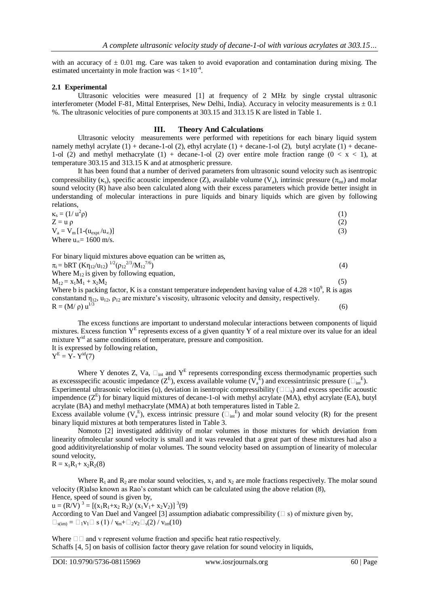with an accuracy of  $\pm$  0.01 mg. Care was taken to avoid evaporation and contamination during mixing. The estimated uncertainty in mole fraction was  $< 1 \times 10^{-4}$ .

#### **2.1 Experimental**

Ultrasonic velocities were measured [1] at frequency of 2 MHz by single crystal ultrasonic interferometer (Model F-81, Mittal Enterprises, New Delhi, India). Accuracy in velocity measurements is  $\pm$  0.1 %. The ultrasonic velocities of pure components at 303.15 and 313.15 K are listed in Table 1.

### **III. Theory And Calculations**

Ultrasonic velocity measurements were performed with repetitions for each binary liquid system namely methyl acrylate  $(1)$  + decane-1-ol  $(2)$ , ethyl acrylate  $(1)$  + decane-1-ol  $(2)$ , butyl acrylate  $(1)$  + decane-1-ol (2) and methyl methacrylate (1) + decane-1-ol (2) over entire mole fraction range ( $0 < x < 1$ ), at temperature 303.15 and 313.15 K and at atmospheric pressure.

It has been found that a number of derived parameters from ultrasonic sound velocity such as isentropic compressibility ( $\kappa$ ), specific acoustic impendence (Z), available volume (V<sub>a</sub>), intrinsic pressure ( $\pi_{\text{int}}$ ) and molar sound velocity (R) have also been calculated along with their excess parameters which provide better insight in understanding of molecular interactions in pure liquids and binary liquids which are given by following relations,

$$
\kappa_s = (1/\nu^2 \rho)
$$
  
\n
$$
Z = u \rho
$$
  
\n
$$
V_a = V_m [1-(u_{expt}/u_\infty)]
$$
  
\nWhere  $u_\infty = 1600$  m/s. (3)

For binary liquid mixtures above equation can be written as,

| $\pi_i$ = bRT (K $\eta_{12}/\mu_{12}$ ) $^{1/2}(\rho_{12}^{2/3}/M_{12}^{7/6})$                                               | (4) |
|------------------------------------------------------------------------------------------------------------------------------|-----|
| Where $M_{12}$ is given by following equation,                                                                               |     |
| $M_{12} = x_1M_1 + x_2M_2$                                                                                                   | (5) |
| Where b is packing factor, K is a constant temperature independent having value of 4.28 $\times$ 10 <sup>9</sup> , R is agas |     |
| constanting $\eta_{12}$ , $\mu_{12}$ , $\rho_{12}$ are mixture's viscosity, ultrasonic velocity and density, respectively.   |     |
| $R = (M/\rho) u^{1/3}$                                                                                                       | (6) |

The excess functions are important to understand molecular interactions between components of liquid mixtures. Excess function  $Y<sup>E</sup>$  represents excess of a given quantity Y of a real mixture over its value for an ideal mixture Y<sup>id</sup> at same conditions of temperature, pressure and composition. It is expressed by following relation,  $Y^E = Y - Y^{id}(7)$ 

Where Y denotes Z, Va,  $\Box_{int}$  and Y<sup>E</sup> represents corresponding excess thermodynamic properties such as excessspecific acoustic impedance ( $Z^{E}$ ), excess available volume ( $V_a^{E}$ ) and excessintrinsic pressure ( $\square_{int}^{E}$ ). Experimental ultrasonic velocities (u), deviation in isentropic compressibility ( $\square \square$ ) and excess specific acoustic impendence  $(Z^E)$  for binary liquid mixtures of decane-1-ol with methyl acrylate (MA), ethyl acrylate (EA), butyl acrylate (BA) and methyl methacrylate (MMA) at both temperatures listed in Table 2.

Excess available volume  $(V_a^E)$ , excess intrinsic pressure  $(\Box_{int}^E)$  and molar sound velocity (R) for the present binary liquid mixtures at both temperatures listed in Table 3.

Nomoto [2] investigated additivity of molar volumes in those mixtures for which deviation from linearity ofmolecular sound velocity is small and it was revealed that a great part of these mixtures had also a good additivityrelationship of molar volumes. The sound velocity based on assumption of linearity of molecular sound velocity,

$$
R=x_1R_1\hspace{-0.8mm}+\hspace{-0.8mm}x_2R_2(8)
$$

Where  $R_1$  and  $R_2$  are molar sound velocities,  $x_1$  and  $x_2$  are mole fractions respectively. The molar sound velocity (R)also known as Rao's constant which can be calculated using the above relation (8), Hence, speed of sound is given by,

 $u = (R/V)^3 = [(x_1R_1+x_2 R_2)/(x_1V_1+x_2V_2)]^3(9)$ According to Van Dael and Vangeel [3] assumption adiabatic compressibility  $(\square s)$  of mixture given by,  $\Box_{\text{sim}} = \Box_1 v_1 \Box s(1) / v_m + \Box_2 v_2 \Box_s(2) / v_m(10)$ 

Where  $\square \square$  and v represent volume fraction and specific heat ratio respectively. Schaffs [4, 5] on basis of collision factor theory gave relation for sound velocity in liquids,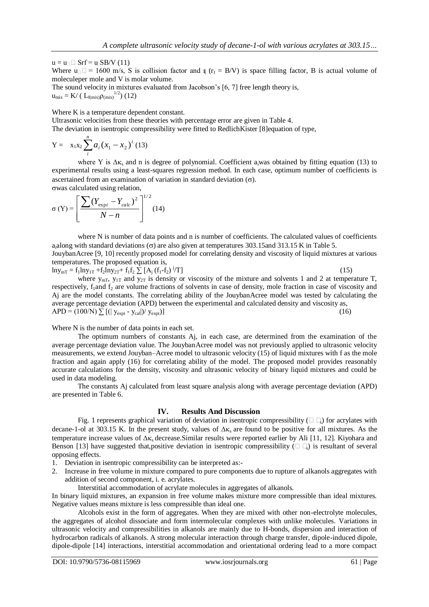$u = u_0 \Box$  Srf =  $u_0$ SB/V (11) Where  $u_{\square} = 1600$  m/s, S is collision factor and  $\mathbf{r}_f$  ( $\mathbf{r}_f = \mathbf{B}/V$ ) is space filling factor, B is actual volume of moleculeper mole and V is molar volume. The sound velocity in mixtures evaluated from Jacobson's [6, 7] free length theory is,

 $u_{\text{mix}} = K / (L_{f(\text{mix})} \rho_{\text{(mix)}}^{1/2})$  (12)

Where K is a temperature dependent constant.

Ultrasonic velocities from these theories with percentage error are given in Table 4.

The deviation in isentropic compressibility were fitted to RedlichKister [8]equation of type,

Y = 
$$
x_1x_2 \sum_{i}^{n} a_i (x_1 - x_2)^i
$$
 (13)

where Y is  $\Delta$ <sub>Ks</sub> and n is degree of polynomial. Coefficient a<sub>i</sub>was obtained by fitting equation (13) to experimental results using a least-squares regression method. In each case, optimum number of coefficients is ascertained from an examination of variation in standard deviation  $(\sigma)$ .

was calculated using relation,

$$
\sigma(Y) = \left[ \frac{\sum (Y_{\text{expt}} - Y_{\text{calc}})^2}{N - n} \right]^{1/2} (14)
$$

where N is number of data points and n is number of coefficients. The calculated values of coefficients aalong with standard deviations ( $\sigma$ ) are also given at temperatures 303.15and 313.15 K in Table 5. JouybanAcree [9, 10] recently proposed model for correlating density and viscosity of liquid mixtures at various temperatures. The proposed equation is,

 $ln y_{mT} = f_1 ln y_{1T} + f_2 ln y_{2T} + f_1 f_2 \sum_{i=1}^{n} [A_i (f_1 - f_2)]^T$ 

 $(T]$  (15)

where  $y_{mT}$ ,  $y_{1T}$  and  $y_{2T}$  is density or viscosity of the mixture and solvents 1 and 2 at temperature T, respectively,  $f_1$  and  $f_2$  are volume fractions of solvents in case of density, mole fraction in case of viscosity and Aj are the model constants. The correlating ability of the JouybanAcree model was tested by calculating the average percentage deviation (APD) between the experimental and calculated density and viscosity as,  $APD = (100/N) \sum [(|y_{expt} - y_{cal}|)/y_{expt})]$  (16)

Where N is the number of data points in each set.

The optimum numbers of constants Aj, in each case, are determined from the examination of the average percentage deviation value. The JouybanAcree model was not previously applied to ultrasonic velocity measurements, we extend Jouyban–Acree model to ultrasonic velocity (15) of liquid mixtures with f as the mole fraction and again apply (16) for correlating ability of the model. The proposed model provides reasonably accurate calculations for the density, viscosity and ultrasonic velocity of binary liquid mixtures and could be used in data modeling.

The constants Aj calculated from least square analysis along with average percentage deviation (APD) are presented in Table 6.

## **IV. Results And Discussion**

Fig. 1 represents graphical variation of deviation in isentropic compressibility ( $\square \square$ ) for acrylates with decane-1-ol at 303.15 K. In the present study, values of  $\Delta \kappa_s$  are found to be positive for all mixtures. As the temperature increase values of  $\Delta \kappa$ , decrease. Similar results were reported earlier by Ali [11, 12]. Kiyohara and Benson [13] have suggested that, positive deviation in isentropic compressibility ( $\square$ ) is resultant of several opposing effects.

- 1. Deviation in isentropic compressibility can be interpreted as:-
- 2. Increase in free volume in mixture compared to pure components due to rupture of alkanols aggregates with addition of second component, i. e. acrylates.

Interstitial accommodation of acrylate molecules in aggregates of alkanols.

In binary liquid mixtures, an expansion in free volume makes mixture more compressible than ideal mixtures. Negative values means mixture is less compressible than ideal one.

Alcohols exist in the form of aggregates. When they are mixed with other non-electrolyte molecules, the aggregates of alcohol dissociate and form intermolecular complexes with unlike molecules. Variations in ultrasonic velocity and compressibilities in alkanols are mainly due to H-bonds, dispersion and interaction of hydrocarbon radicals of alkanols. A strong molecular interaction through charge transfer, dipole-induced dipole, dipole-dipole [14] interactions, interstitial accommodation and orientational ordering lead to a more compact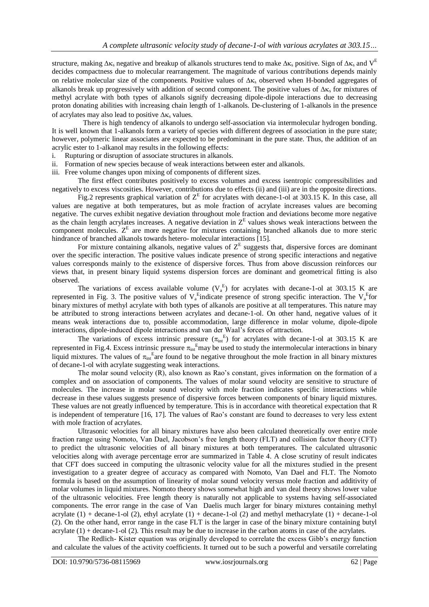structure, making  $\Delta \kappa_s$  negative and breakup of alkanols structures tend to make  $\Delta \kappa_s$  positive. Sign of  $\Delta \kappa_s$  and  $V^E$ decides compactness due to molecular rearrangement. The magnitude of various contributions depends mainly on relative molecular size of the components. Positive values of  $\Delta \kappa_s$  observed when H-bonded aggregates of alkanols break up progressively with addition of second component. The positive values of  $\Delta \kappa$  for mixtures of methyl acrylate with both types of alkanols signify decreasing dipole-dipole interactions due to decreasing proton donating abilities with increasing chain length of 1-alkanols. De-clustering of 1-alkanols in the presence of acrylates may also lead to positive  $\Delta \kappa$ , values.

 There is high tendency of alkanols to undergo self-association via intermolecular hydrogen bonding. It is well known that 1-alkanols form a variety of species with different degrees of association in the pure state; however, polymeric linear associates are expected to be predominant in the pure state. Thus, the addition of an acrylic ester to 1-alkanol may results in the following effects:

- i. Rupturing or disruption of associate structures in alkanols.
- ii. Formation of new species because of weak interactions between ester and alkanols.
- iii. Free volume changes upon mixing of components of different sizes.

The first effect contributes positively to excess volumes and excess isentropic compressibilities and negatively to excess viscosities. However, contributions due to effects (ii) and (iii) are in the opposite directions.

Fig.2 represents graphical variation of  $Z<sup>E</sup>$  for acrylates with decane-1-ol at 303.15 K. In this case, all values are negative at both temperatures, but as mole fraction of acrylate increases values are becoming negative. The curves exhibit negative deviation throughout mole fraction and deviations become more negative as the chain length acrylates increases. A negative deviation in  $Z<sup>E</sup>$  values shows weak interactions between the component molecules. Z<sup>E</sup> are more negative for mixtures containing branched alkanols due to more steric hindrance of branched alkanols towards hetero- molecular interactions [15].

For mixture containing alkanols, negative values of  $Z<sup>E</sup>$  suggests that, dispersive forces are dominant over the specific interaction. The positive values indicate presence of strong specific interactions and negative values corresponds mainly to the existence of dispersive forces. Thus from above discussion reinforces our views that, in present binary liquid systems dispersion forces are dominant and geometrical fitting is also observed.

The variations of excess available volume  $(V_a^E)$  for acrylates with decane-1-ol at 303.15 K are represented in Fig. 3. The positive values of  $V_a^E$ indicate presence of strong specific interaction. The  $V_a^E$ for binary mixtures of methyl acrylate with both types of alkanols are positive at all temperatures. This nature may be attributed to strong interactions between acrylates and decane-1-ol. On other hand, negative values of it means weak interactions due to, possible accommodation, large difference in molar volume, dipole-dipole interactions, dipole-induced dipole interactions and van der Waal's forces of attraction.

The variations of excess intrinsic pressure  $(\pi_{int}^E)$  for acrylates with decane-1-ol at 303.15 K are represented in Fig.4. Excess intrinsic pressure  $\pi_{int}^{E}$  may be used to study the intermolecular interactions in binary liquid mixtures. The values of  $\pi_{int}^{E}$  are found to be negative throughout the mole fraction in all binary mixtures of decane-1-ol with acrylate suggesting weak interactions.

The molar sound velocity (R), also known as Rao's constant, gives information on the formation of a complex and on association of components. The values of molar sound velocity are sensitive to structure of molecules. The increase in molar sound velocity with mole fraction indicates specific interactions while decrease in these values suggests presence of dispersive forces between components of binary liquid mixtures. These values are not greatly influenced by temperature. This is in accordance with theoretical expectation that R is independent of temperature [16, 17]. The values of Rao's constant are found to decreases to very less extent with mole fraction of acrylates.

Ultrasonic velocities for all binary mixtures have also been calculated theoretically over entire mole fraction range using Nomoto, Van Dael, Jacobson's free length theory (FLT) and collision factor theory (CFT) to predict the ultrasonic velocities of all binary mixtures at both temperatures. The calculated ultrasonic velocities along with average percentage error are summarized in Table 4. A close scrutiny of result indicates that CFT does succeed in computing the ultrasonic velocity value for all the mixtures studied in the present investigation to a greater degree of accuracy as compared with Nomoto, Van Dael and FLT. The Nomoto formula is based on the assumption of linearity of molar sound velocity versus mole fraction and additivity of molar volumes in liquid mixtures. Nomoto theory shows somewhat high and van deal theory shows lower value of the ultrasonic velocities. Free length theory is naturally not applicable to systems having self-associated components. The error range in the case of Van Daelis much larger for binary mixtures containing methyl acrylate  $(1)$  + decane-1-ol  $(2)$ , ethyl acrylate  $(1)$  + decane-1-ol  $(2)$  and methyl methacrylate  $(1)$  + decane-1-ol (2). On the other hand, error range in the case FLT is the larger in case of the binary mixture containing butyl acrylate  $(1)$  + decane-1-ol  $(2)$ . This result may be due to increase in the carbon atoms in case of the acrylates.

The Redlich- Kister equation was originally developed to correlate the excess Gibb's energy function and calculate the values of the activity coefficients. It turned out to be such a powerful and versatile correlating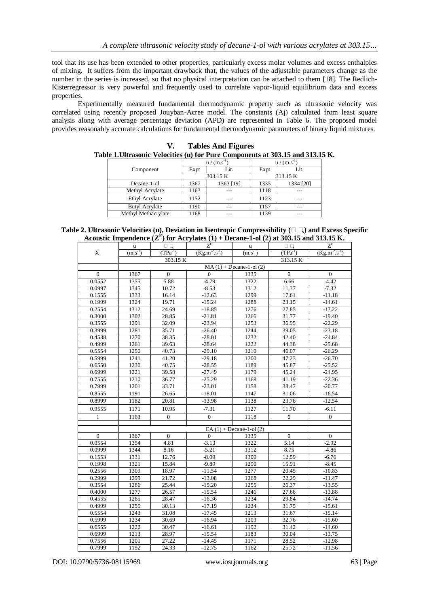tool that its use has been extended to other properties, particularly excess molar volumes and excess enthalpies of mixing. It suffers from the important drawback that, the values of the adjustable parameters change as the number in the series is increased, so that no physical interpretation can be attached to them [18]. The Redlich-Kisterregressor is very powerful and frequently used to correlate vapor-liquid equilibrium data and excess properties.

Experimentally measured fundamental thermodynamic property such as ultrasonic velocity was correlated using recently proposed Jouyban-Acree model. The constants (Aj) calculated from least square analysis along with average percentage deviation (APD) are represented in Table 6. The proposed model provides reasonably accurate calculations for fundamental thermodynamic parameters of binary liquid mixtures.

| Table 1. Ultrasonic Velocities (u) for Pure Components at 303.15 and 313.15 K. |                       |      |                  |                  |           |  |  |  |  |
|--------------------------------------------------------------------------------|-----------------------|------|------------------|------------------|-----------|--|--|--|--|
|                                                                                |                       |      | $u / (m.s^{-1})$ | $u / (m.s^{-1})$ |           |  |  |  |  |
|                                                                                | Component             | Expt | Lit.             | Expt             | Lit.      |  |  |  |  |
|                                                                                |                       |      | 303.15 K         |                  | 313.15 K  |  |  |  |  |
|                                                                                | Decane-1-ol           | 1367 | 1363 [19]        | 1335             | 1334 [20] |  |  |  |  |
|                                                                                | Methyl Acrylate       | 1163 |                  | 1118             |           |  |  |  |  |
|                                                                                | Ethyl Acrylate        | 1152 |                  | 1123             |           |  |  |  |  |
|                                                                                | <b>Butyl Acrylate</b> | 1190 |                  | 1157             |           |  |  |  |  |
|                                                                                | Methyl Methacrylate   | 1168 |                  | 1139             |           |  |  |  |  |

**V. Tables And Figures**

| Table 2. Ultrasonic Velocities (u), Deviation in Isentropic Compressibility ( $\Box$ $\Box$ ) and Excess Specific |  |
|-------------------------------------------------------------------------------------------------------------------|--|
| Acoustic Impendence $(\mathbb{Z}^E)$ for Acrylates (1) + Decane-1-ol (2) at 303.15 and 313.15 K.                  |  |

|              | u            | $\Box$ $\Box$  | $Z_{\rm E}$          | u                            | $\Box$       | $Z_{\rm E}$          |  |  |
|--------------|--------------|----------------|----------------------|------------------------------|--------------|----------------------|--|--|
| $X_1$        | $(m.s^{-1})$ | $(TPa^{-1})$   | $(Kg.m^{-2}.s^{-1})$ | $(m.\overline{s^{-1}})$      | $(TPa^{-1})$ | $(Kg.m^{-2}.s^{-1})$ |  |  |
|              |              | 303.15 K       |                      |                              |              |                      |  |  |
|              |              |                |                      | $MA(1) + Decane-1-ol(2)$     |              |                      |  |  |
| $\Omega$     | 1367         | $\Omega$       | $\Omega$             | 1335                         | $\Omega$     | $\Omega$             |  |  |
| 0.0552       | 1355         | 5.88           | $-4.79$              | 1322                         | 6.66         | $-4.42$              |  |  |
| 0.0997       | 1345         | 10.72          | $-8.53$              | 1312                         | 11.37        | $-7.32$              |  |  |
| 0.1555       | 1333         | 16.14          | $-12.63$             | 1299                         | 17.61        | $-11.18$             |  |  |
| 0.1999       | 1324         | 19.71          | $-15.24$             | 1288                         | 23.15        | $-14.61$             |  |  |
| 0.2554       | 1312         | 24.69          | $-18.85$             | 1276                         | 27.85        | $-17.22$             |  |  |
| 0.3000       | 1302         | 28.85          | $-21.81$             | 1266                         | 31.77        | $-19.40$             |  |  |
| 0.3555       | 1291         | 32.09          | $-23.94$             | 1253                         | 36.95        | $-22.29$             |  |  |
| 0.3999       | 1281         | 35.71          | $-26.40$             | 1244                         | 39.05        | $-23.18$             |  |  |
| 0.4538       | 1270         | 38.35          | $-28.01$             | 1232                         | 42.40        | $-24.84$             |  |  |
| 0.4999       | 1261         | 39.63          | $-28.64$             | 1222                         | 44.38        | $-25.68$             |  |  |
| 0.5554       | 1250         | 40.73          | $-29.10$             | 1210                         | 46.07        | $-26.29$             |  |  |
| 0.5999       | 1241         | 41.20          | $-29.18$             | 1200                         | 47.23        | $-26.70$             |  |  |
| 0.6550       | 1230         | 40.75          | $-28.55$             | 1189                         | 45.87        | $-25.52$             |  |  |
| 0.6999       | 1221         | 39.58          | $-27.49$             | 1179                         | 45.24        | $-24.95$             |  |  |
| 0.7555       | 1210         | 36.77          | $-25.29$             | 1168                         | 41.19        | $-22.36$             |  |  |
| 0.7999       | 1201         | 33.71          | $-23.01$             | 1158                         | 38.47        | $-20.77$             |  |  |
| 0.8555       | 1191         | 26.65          | $-18.01$             | 1147                         | 31.06        | $-16.54$             |  |  |
| 0.8999       | 1182         | 20.81          | $-13.98$             | 1138                         | 23.76        | $-12.54$             |  |  |
| 0.9555       | 1171         | 10.95          | $-7.31$              | 1127                         | 11.70        | $-6.11$              |  |  |
| $\mathbf{1}$ | 1163         | $\overline{0}$ | $\mathbf{0}$         | 1118                         | $\mathbf{0}$ | $\overline{0}$       |  |  |
|              |              |                |                      | EA $(1)$ + Decane-1-ol $(2)$ |              |                      |  |  |
| $\Omega$     | 1367         | $\Omega$       | $\Omega$             | 1335                         | $\Omega$     | $\Omega$             |  |  |
| 0.0554       | 1354         | 4.81           | $-3.13$              | 1322                         | 5.14         | $-2.92$              |  |  |
| 0.0999       | 1344         | 8.16           | $-5.21$              | 1312                         | 8.75         | $-4.86$              |  |  |
| 0.1553       | 1331         | 12.76          | $-8.09$              | 1300                         | 12.59        | $-6.76$              |  |  |
| 0.1998       | 1321         | 15.84          | $-9.89$              | 1290                         | 15.91        | $-8.45$              |  |  |
| 0.2556       | 1309         | 18.97          | $-11.54$             | 1277                         | 20.45        | $-10.83$             |  |  |
| 0.2999       | 1299         | 21.72          | $-13.08$             | 1268                         | 22.29        | $-11.47$             |  |  |
| 0.3554       | 1286         | 25.44          | $-15.20$             | 1255                         | 26.37        | $-13.55$             |  |  |
| 0.4000       | 1277         | 26.57          | $-15.54$             | 1246                         | 27.66        | $-13.88$             |  |  |
| 0.4555       | 1265         | 28.47          | $-16.36$             | 1234                         | 29.84        | $-14.74$             |  |  |
| 0.4999       | 1255         | 30.13          | $-17.19$             | 1224                         | 31.75        | $-15.61$             |  |  |
| 0.5554       | 1243         | 31.08          | $-17.45$             | 1213                         | 31.67        | $-15.14$             |  |  |
| 0.5999       | 1234         | 30.69          | $-16.94$             | 1203                         | 32.76        | $-15.60$             |  |  |
| 0.6555       | 1222         | 30.47          | $-16.61$             | 1192                         | 31.42        | $-14.60$             |  |  |
| 0.6999       | 1213         | 28.97          | $-15.54$             | 1183                         | 30.04        | $-13.75$             |  |  |
| 0.7556       | 1201         | 27.22          | $-14.45$             | 1171                         | 28.52        | $-12.98$             |  |  |
| 0.7999       | 1192         | 24.33          | $-12.75$             | 1162                         | 25.72        | $-11.56$             |  |  |

DOI: 10.9790/5736-08115969 www.iosrjournals.org 63 | Page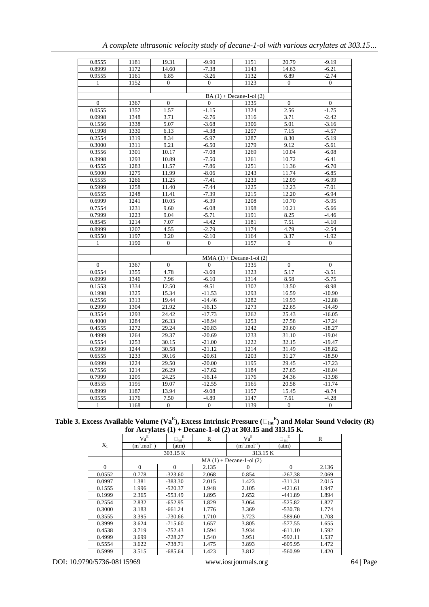| 0.8555         | 1181 | 19.31            | $-9.90$          | 1151                      | 20.79            | $-9.19$          |
|----------------|------|------------------|------------------|---------------------------|------------------|------------------|
| 0.8999         | 1172 | 14.60            | $-7.38$          | 1143                      | 14.63            | $-6.21$          |
| 0.9555         | 1161 | 6.85             | $-3.26$          | 1132                      | 6.89             | $-2.74$          |
| 1              | 1152 | $\Omega$         | $\mathbf{0}$     | 1123                      | $\mathbf{0}$     | $\mathbf{0}$     |
|                |      |                  |                  |                           |                  |                  |
|                |      |                  |                  |                           |                  |                  |
| $\theta$       | 1367 | $\overline{0}$   | $\Omega$         | 1335                      | $\overline{0}$   | $\theta$         |
| 0.0555         | 1357 | 1.57             | $-1.15$          | 1324                      | 2.56             | $-1.75$          |
| 0.0998         | 1348 | 3.71             | $-2.76$          | 1316                      | 3.71             | $-2.42$          |
| 0.1556         | 1338 | 5.07             | $-3.68$          | 1306                      | 5.01             | $-3.16$          |
| 0.1998         | 1330 | 6.13             | $-4.38$          | 1297                      | 7.15             | $-4.57$          |
| 0.2554         | 1319 | 8.34             | $-5.97$          | 1287                      | 8.30             | $-5.19$          |
| 0.3000         | 1311 | 9.21             | $-6.50$          | 1279                      | 9.12             | $-5.61$          |
| 0.3556         | 1301 | 10.17            | $-7.08$          | 1269                      | 10.04            | $-6.08$          |
| 0.3998         | 1293 | 10.89            | $-7.50$          | 1261                      | 10.72            | $-6.41$          |
| 0.4555         | 1283 | 11.57            | $-7.86$          | 1251                      | 11.36            | $-6.70$          |
| 0.5000         | 1275 | 11.99            | $-8.06$          | 1243                      | 11.74            | $-6.85$          |
| 0.5555         | 1266 | 11.25            | $-7.41$          | 1233                      | 12.09            | $-6.99$          |
| 0.5999         | 1258 | 11.40            | $-7.44$          | 1225                      | 12.23            | $-7.01$          |
| 0.6555         | 1248 | 11.41            | $-7.39$          | 1215                      | 12.20            | $-6.94$          |
| 0.6999         | 1241 | 10.05            | $-6.39$          | 1208                      | 10.70            | $-5.95$          |
| 0.7554         | 1231 | 9.60             | $-6.08$          | 1198                      | 10.21            | $-5.66$          |
| 0.7999         | 1223 | 9.04             | $-5.71$          | 1191                      | 8.25             | $-4.46$          |
| 0.8545         | 1214 | 7.07             | $-4.42$          | 1181                      | 7.51             | $-4.10$          |
| 0.8999         | 1207 | 4.55             | $-2.79$          | 1174                      | 4.79             | $-2.54$          |
| 0.9550         | 1197 | 3.20             | $-2.10$          | 1164                      | 3.37             | $-1.92$          |
| 1              | 1190 | $\mathbf{0}$     | $\mathbf{0}$     | 1157                      | $\mathbf{0}$     | $\mathbf{0}$     |
|                |      |                  |                  |                           |                  |                  |
|                |      |                  |                  | $MMA(1) + Decane-1-ol(2)$ |                  |                  |
| $\overline{0}$ | 1367 | $\boldsymbol{0}$ | $\mathbf{0}$     | 1335                      | $\boldsymbol{0}$ | $\mathbf{0}$     |
| 0.0554         | 1355 | 4.78             | $-3.69$          | 1323                      | 5.17             | $-3.51$          |
| 0.0999         | 1346 | 7.96             | $-6.10$          | 1314                      | 8.58             | $-5.75$          |
| 0.1553         | 1334 | 12.50            | $-9.51$          | 1302                      | 13.50            | $-8.98$          |
| 0.1998         | 1325 | 15.34            | $-11.53$         | 1293                      | 16.59            | $-10.90$         |
| 0.2556         | 1313 | 19.44            | $-14.46$         | 1282                      | 19.93            | $-12.88$         |
| 0.2999         | 1304 | 21.92            | $-16.13$         | 1273                      | 22.65            | $-14.49$         |
| 0.3554         | 1293 | 24.42            | $-17.73$         | 1262                      | 25.43            | $-16.05$         |
| 0.4000         | 1284 | 26.33            | $-18.94$         | 1253                      | 27.58            | $-17.24$         |
| 0.4555         | 1272 | 29.24            | $-20.83$         | 1242                      | 29.60            | $-18.27$         |
| 0.4999         | 1264 | 29.37            | $-20.69$         | 1233                      | 31.10            | $-19.04$         |
| 0.5554         | 1253 | 30.15            | $-21.00$         | 1222                      | 32.15            | $-19.47$         |
| 0.5999         | 1244 | 30.58            | $-21.12$         | 1214                      | 31.49            | $-18.82$         |
| 0.6555         | 1233 | 30.16            | $-20.61$         | 1203                      | 31.27            | $-18.50$         |
| 0.6999         | 1224 | 29.50            | $-20.00$         | 1195                      | 29.45            | $-17.23$         |
| 0.7556         | 1214 | 26.29            | $-17.62$         | 1184                      | 27.65            | $-16.04$         |
| 0.7999         | 1205 | 24.25            | $-16.14$         | 1176                      | 24.36            | $-13.98$         |
| 0.8555         | 1195 | 19.07            | $-12.55$         | 1165                      | 20.58            | $-11.74$         |
| 0.8999         | 1187 | 13.94            | $-9.08$          | 1157                      | 15.45            | $-8.74$          |
| 0.9555         | 1176 | 7.50             | $-4.89$          | 1147                      | 7.61             | $-4.28$          |
| $\mathbf{1}$   | 1168 | $\boldsymbol{0}$ | $\boldsymbol{0}$ | 1139                      | $\boldsymbol{0}$ | $\boldsymbol{0}$ |
|                |      |                  |                  |                           |                  |                  |

**Table 3. Excess Available Volume (Va<sup>E</sup> ), Excess Intrinsic Pressure (int E ) and Molar Sound Velocity (R) for Acrylates (1) + Decane-1-ol (2) at 303.15 and 313.15 K.**

|          | $Va^E$                           | $\square_{\rm int}^{\quad \rm E}$ | R     | $Va^E$                           | $\square_{\rm int}^{\quad \  E}$ | $\mathbb{R}$ |
|----------|----------------------------------|-----------------------------------|-------|----------------------------------|----------------------------------|--------------|
| $X_1$    | $(m^3 \text{.} \text{mol}^{-1})$ | (atm)                             |       | $(m^3 \text{.} \text{mol}^{-1})$ | (atm)                            |              |
|          |                                  | 303.15 K                          |       | 313.15 K                         |                                  |              |
|          |                                  |                                   |       | $MA(1) + Decane-1-ol(2)$         |                                  |              |
| $\Omega$ | $\Omega$                         | $\Omega$                          | 2.135 | $\Omega$                         | $\Omega$                         | 2.136        |
| 0.0552   | 0.778                            | $-323.60$                         | 2.068 | 0.854                            | $-267.38$                        | 2.069        |
| 0.0997   | 1.381                            | $-383.30$                         | 2.015 | 1.423                            | $-311.31$                        | 2.015        |
| 0.1555   | 1.996                            | $-520.37$                         | 1.948 | 2.105                            | $-421.61$                        | 1.947        |
| 0.1999   | 2.365                            | $-553.49$                         | 1.895 | 2.652                            | $-441.89$                        | 1.894        |
| 0.2554   | 2.832                            | $-652.95$                         | 1.829 | 3.064                            | $-525.82$                        | 1.827        |
| 0.3000   | 3.183                            | $-661.24$                         | 1.776 | 3.369                            | $-530.78$                        | 1.774        |
| 0.3555   | 3.395                            | $-730.66$                         | 1.710 | 3.723                            | $-589.60$                        | 1.708        |
| 0.3999   | 3.624                            | -715.60                           | 1.657 | 3.805                            | $-577.55$                        | 1.655        |
| 0.4538   | 3.719                            | $-752.43$                         | 1.594 | 3.934                            | $-611.10$                        | 1.592        |
| 0.4999   | 3.699                            | $-728.27$                         | 1.540 | 3.951                            | $-592.11$                        | 1.537        |
| 0.5554   | 3.622                            | $-738.71$                         | 1.475 | 3.893                            | $-605.95$                        | 1.472        |
| 0.5999   | 3.515                            | $-685.64$                         | 1.423 | 3.812                            | -560.99                          | 1.420        |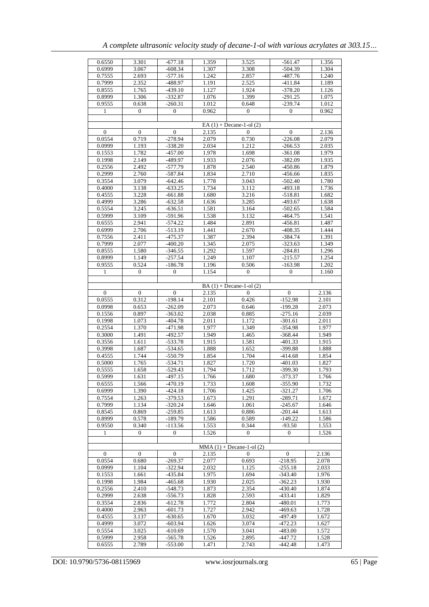| 0.6550           | 3.301            | $-677.18$        | 1.359 | 3.525                        | $-561.47$        | 1.356 |
|------------------|------------------|------------------|-------|------------------------------|------------------|-------|
| 0.6999           | 3.067            | $-608.34$        | 1.307 | 3.308                        | $-504.39$        | 1.304 |
| 0.7555           | 2.693            | $-577.16$        | 1.242 | 2.857                        | -487.76          | 1.240 |
| 0.7999           | 2.352            | -488.97          | 1.191 | 2.525                        | $-411.84$        | 1.189 |
| 0.8555           | 1.765            | $-439.10$        | 1.127 | 1.924                        | $-378.20$        | 1.126 |
| 0.8999           | 1.306            | $-332.87$        | 1.076 | 1.399                        | $-291.25$        | 1.075 |
|                  |                  |                  |       |                              |                  |       |
| 0.9555           | 0.638            | $-260.31$        | 1.012 | 0.648                        | $-239.74$        | 1.012 |
| 1                | $\overline{0}$   | $\mathbf{0}$     | 0.962 | $\mathbf{0}$                 | $\mathbf{0}$     | 0.962 |
|                  |                  |                  |       |                              |                  |       |
|                  |                  |                  |       | EA $(1)$ + Decane-1-ol $(2)$ |                  |       |
| $\mathbf{0}$     | $\mathbf{0}$     | $\overline{0}$   | 2.135 | $\Omega$                     | $\mathbf{0}$     | 2.136 |
| 0.0554           | 0.719            | $-278.94$        | 2.079 | 0.730                        | $-226.08$        | 2.079 |
| 0.0999           | 1.193            | $-338.20$        | 2.034 | 1.212                        | $-266.53$        | 2.035 |
| 0.1553           | 1.782            | $-457.00$        | 1.978 | 1.698                        | $-361.08$        | 1.979 |
| 0.1998           | 2.149            | -489.97          | 1.933 | 2.076                        | $-382.09$        | 1.935 |
| 0.2556           | 2.492            | -577.79          | 1.878 | 2.540                        | -450.86          | 1.879 |
| 0.2999           | 2.760            | $-587.84$        | 1.834 | 2.710                        | -456.66          | 1.835 |
|                  |                  |                  |       |                              |                  |       |
| 0.3554           | 3.079            | $-642.46$        | 1.778 | 3.043                        | $-502.40$        | 1.780 |
| 0.4000           | 3.138            | $-633.25$        | 1.734 | 3.112                        | $-493.18$        | 1.736 |
| 0.4555           | 3.228            | $-661.88$        | 1.680 | 3.216                        | $-518.81$        | 1.682 |
| 0.4999           | 3.286            | -632.58          | 1.636 | 3.285                        | -493.67          | 1.638 |
| 0.5554           | 3.245            | $-636.51$        | 1.581 | 3.164                        | $-502.65$        | 1.584 |
| 0.5999           | 3.109            | $-591.96$        | 1.538 | 3.132                        | $-464.75$        | 1.541 |
| 0.6555           | 2.941            | $-574.22$        | 1.484 | 2.891                        | $-456.81$        | 1.487 |
| 0.6999           | 2.706            | $-513.19$        | 1.441 | 2.670                        | $-408.35$        | 1.444 |
| 0.7556           | 2.411            | $-475.37$        | 1.387 | 2.394                        | $-384.74$        | 1.391 |
| 0.7999           | 2.077            | $-400.20$        | 1.345 | 2.075                        | $-323.63$        | 1.349 |
| 0.8555           | 1.580            | -346.55          | 1.292 | 1.597                        | $-284.81$        | 1.296 |
| 0.8999           |                  | $-257.54$        | 1.249 |                              | $-215.57$        |       |
|                  | 1.149            |                  |       | 1.107                        |                  | 1.254 |
| 0.9555           | 0.524            | $-186.78$        | 1.196 | 0.506                        | $-163.98$        | 1.202 |
| 1                | 0                | 0                | 1.154 | 0                            | $\mathbf{0}$     | 1.160 |
|                  |                  |                  |       |                              |                  |       |
|                  |                  |                  |       | $BA(1) + Decane-1-ol(2)$     |                  |       |
| $\boldsymbol{0}$ | $\boldsymbol{0}$ | $\boldsymbol{0}$ | 2.135 | $\mathbf{0}$                 | $\boldsymbol{0}$ | 2.136 |
| 0.0555           | 0.312            | $-198.14$        | 2.101 | 0.426                        | $-152.98$        | 2.101 |
| 0.0998           | 0.653            | $-262.09$        | 2.073 | 0.646                        | $-199.28$        | 2.073 |
| 0.1556           | 0.897            | $-363.02$        | 2.038 | 0.885                        | $-275.16$        | 2.039 |
| 0.1998           | 1.073            | $-404.78$        | 2.011 | 1.172                        | $-301.61$        | 2.011 |
| 0.2554           | 1.370            | $-471.98$        | 1.977 | 1.349                        | $-354.98$        | 1.977 |
| 0.3000           | 1.491            | $-492.57$        | 1.949 | 1.465                        | $-368.44$        | 1.949 |
| 0.3556           | 1.611            | $-533.78$        | 1.915 | 1.581                        | $-401.33$        | 1.915 |
|                  |                  |                  |       |                              |                  |       |
| 0.3998           | 1.687            | $-534.65$        | 1.888 | 1.652                        | $-399.88$        | 1.888 |
| 0.4555           | 1.744            | $-550.79$        | 1.854 | 1.704                        | $-414.68$        | 1.854 |
| 0.5000           | 1.765            | $-534.71$        | 1.827 | 1.720                        | $-401.03$        | 1.827 |
| 0.5555           | 1.658            | $-529.43$        | 1.794 | 1.712                        | $-399.30$        | 1.793 |
| 0.5999           | 1.631            | $-497.15$        | 1.766 | 1.680                        | $-373.37$        | 1.766 |
| 0.6555           | 1.566            | $-470.19$        | 1.733 | 1.608                        | -355.90          | 1.732 |
| 0.6999           | 1.390            | $-424.18$        | 1.706 | 1.425                        | $-321.27$        | 1.706 |
| 0.7554           | 1.263            | $-379.53$        | 1.673 | 1.291                        | $-289.71$        | 1.672 |
| 0.7999           | 1.134            | $-320.24$        | 1.646 | 1.061                        | $-245.67$        | 1.646 |
| 0.8545           | 0.869            | $-259.85$        | 1.613 | 0.886                        | $-201.44$        | 1.613 |
| 0.8999           | 0.578            | $-189.79$        | 1.586 | 0.589                        | $-149.22$        | 1.586 |
| 0.9550           | 0.340            | $-113.56$        | 1.553 | 0.344                        | $-93.50$         | 1.553 |
| 1                | 0                | $\overline{0}$   | 1.526 | $\mathbf{0}$                 | $\overline{0}$   | 1.526 |
|                  |                  |                  |       |                              |                  |       |
|                  |                  |                  |       |                              |                  |       |
|                  |                  |                  |       | $MMA (1) + Decane-1-ol (2)$  |                  |       |
| 0                | 0                | $\mathbf 0$      | 2.135 | $\mathbf{0}$                 | $\mathbf{0}$     | 2.136 |
| 0.0554           | 0.680            | $-269.37$        | 2.077 | 0.693                        | $-218.95$        | 2.078 |
| 0.0999           | 1.104            | $-322.94$        | 2.032 | 1.125                        | $-255.18$        | 2.033 |
| 0.1553           | 1.661            | -435.84          | 1.975 | 1.694                        | $-343.40$        | 1.976 |
| 0.1998           | 1.984            | $-465.68$        | 1.930 | 2.025                        | $-362.23$        | 1.930 |
| 0.2556           | 2.410            | $-548.73$        | 1.873 | 2.354                        | $-430.40$        | 1.874 |
| 0.2999           | 2.638            | $-556.73$        | 1.828 | 2.593                        | $-433.41$        | 1.829 |
| 0.3554           | 2.836            | $-612.78$        | 1.772 | 2.804                        | $-480.01$        | 1.773 |
| 0.4000           | 2.963            | $-601.73$        | 1.727 | 2.942                        | -469.63          | 1.728 |
| 0.4555           | 3.137            | -630.65          | 1.670 | 3.032                        | -497.49          | 1.672 |
| 0.4999           | 3.072            | -603.94          | 1.626 | 3.074                        | $-472.23$        | 1.627 |
| 0.5554           | 3.025            | $-610.69$        | 1.570 | 3.041                        | $-483.00$        | 1.572 |
|                  |                  |                  |       |                              |                  |       |
| 0.5999           | 2.958            | $-565.78$        | 1.526 | 2.895                        | $-447.72$        | 1.528 |
| 0.6555           | 2.789            | $-553.00$        | 1.471 | 2.743                        | $-442.48$        | 1.473 |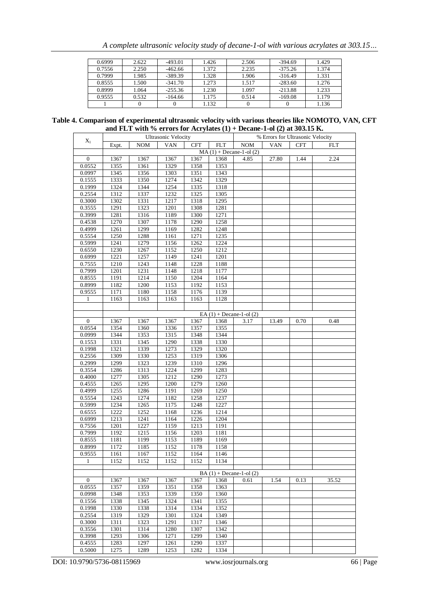| 0.6999 | 2.622 | $-493.01$ | 1.426 | 2.506 | $-394.69$ | 1.429 |
|--------|-------|-----------|-------|-------|-----------|-------|
| 0.7556 | 2.250 | $-462.66$ | 1.372 | 2.235 | $-375.26$ | 1.374 |
| 0.7999 | 1.985 | $-389.39$ | 1.328 | 1.906 | $-316.49$ | 1.331 |
| 0.8555 | l.500 | $-341.70$ | 1.273 | 1.517 | $-283.60$ | 1.276 |
| 0.8999 | 1.064 | $-255.36$ | 1.230 | 1.097 | $-213.88$ | 1.233 |
| 0.9555 | 0.532 | $-164.66$ | 1.175 | 0.514 | $-169.08$ | 1.179 |
|        |       |           | 1.132 |       |           | 1.136 |

| Table 4. Comparison of experimental ultrasonic velocity with various theories like NOMOTO, VAN, CFT |  |
|-----------------------------------------------------------------------------------------------------|--|
| and FLT with % errors for Acrylates $(1)$ + Decane-1-ol $(2)$ at 303.15 K.                          |  |

|                  |                  |            | <b>Ultrasonic Velocity</b> |            | % Errors for Ultrasonic Velocity |                              |            |            |            |
|------------------|------------------|------------|----------------------------|------------|----------------------------------|------------------------------|------------|------------|------------|
| $X_1$            | Expt.            | <b>NOM</b> | <b>VAN</b>                 | <b>CFT</b> | <b>FLT</b>                       | <b>NOM</b>                   | <b>VAN</b> | <b>CFT</b> | <b>FLT</b> |
|                  |                  |            |                            |            |                                  | $MA(1) + Decane-1-ol(2)$     |            |            |            |
| $\mathbf{0}$     | 1367             | 1367       | 1367                       | 1367       | 1368                             | 4.85                         | 27.80      | 1.44       | 2.24       |
| 0.0552           | 1355             | 1361       | 1329                       | 1358       | 1353                             |                              |            |            |            |
| 0.0997           | 1345             | 1356       | 1303                       | 1351       | 1343                             |                              |            |            |            |
| 0.1555           | 1333             | 1350       | 1274                       | 1342       | 1329                             |                              |            |            |            |
| 0.1999           | 1324             | 1344       | 1254                       | 1335       | 1318                             |                              |            |            |            |
| 0.2554           | 1312             | 1337       | 1232                       | 1325       | 1305                             |                              |            |            |            |
| 0.3000           | 1302             | 1331       | 1217                       | 1318       | 1295                             |                              |            |            |            |
| 0.3555           | 1291             | 1323       | 1201                       | 1308       | 1281                             |                              |            |            |            |
| 0.3999           |                  |            | 1189                       | 1300       |                                  |                              |            |            |            |
|                  | 1281             | 1316       |                            |            | 1271                             |                              |            |            |            |
| 0.4538           | 1270             | 1307       | 1178                       | 1290       | 1258                             |                              |            |            |            |
| 0.4999           | 1261             | 1299       | 1169                       | 1282       | 1248                             |                              |            |            |            |
| 0.5554           | 1250             | 1288       | 1161                       | 1271       | 1235                             |                              |            |            |            |
| 0.5999           | 1241             | 1279       | 1156                       | 1262       | 1224                             |                              |            |            |            |
| 0.6550           | 1230             | 1267       | 1152                       | 1250       | 1212                             |                              |            |            |            |
| 0.6999           | 1221             | 1257       | 1149                       | 1241       | 1201                             |                              |            |            |            |
| 0.7555           | $\frac{1}{1210}$ | 1243       | 1148                       | 1228       | 1188                             |                              |            |            |            |
| 0.7999           | 1201             | 1231       | 1148                       | 1218       | 1177                             |                              |            |            |            |
| 0.8555           | 1191             | 1214       | 1150                       | 1204       | 1164                             |                              |            |            |            |
| 0.8999           | 1182             | 1200       | 1153                       | 1192       | 1153                             |                              |            |            |            |
| 0.9555           | 1171             | 1180       | 1158                       | 1176       | 1139                             |                              |            |            |            |
| 1                | 1163             | 1163       | 1163                       | 1163       | 1128                             |                              |            |            |            |
|                  |                  |            |                            |            |                                  |                              |            |            |            |
|                  |                  |            |                            |            |                                  | EA $(1)$ + Decane-1-ol $(2)$ |            |            |            |
| $\boldsymbol{0}$ | 1367             | 1367       | 1367                       | 1367       | 1368                             | 3.17                         | 13.49      | 0.70       | 0.48       |
| 0.0554           | 1354             | 1360       | 1336                       | 1357       | 1355                             |                              |            |            |            |
| 0.0999           | 1344             | 1353       | 1315                       | 1348       | 1344                             |                              |            |            |            |
| 0.1553           | 1331             | 1345       | 1290                       | 1338       | 1330                             |                              |            |            |            |
| 0.1998           | 1321             | 1339       | 1273                       | 1329       | 1320                             |                              |            |            |            |
| 0.2556           | 1309             | 1330       | 1253                       | 1319       | 1306                             |                              |            |            |            |
| 0.2999           | 1299             | 1323       | 1239                       | 1310       | 1296                             |                              |            |            |            |
| 0.3554           | 1286             | 1313       | 1224                       | 1299       | 1283                             |                              |            |            |            |
| 0.4000           | 1277             | 1305       | 1212                       | 1290       | 1273                             |                              |            |            |            |
| 0.4555           | 1265             | 1295       | 1200                       | 1279       | 1260                             |                              |            |            |            |
| 0.4999           | 1255             | 1286       | 1191                       | 1269       | 1250                             |                              |            |            |            |
| 0.5554           | 1243             | 1274       | 1182                       | 1258       | 1237                             |                              |            |            |            |
| 0.5999           | 1234             | 1265       | 1175                       | 1248       | 1227                             |                              |            |            |            |
| 0.6555           | 1222             | 1252       | 1168                       | 1236       | 1214                             |                              |            |            |            |
| 0.6999           | 1213             | 1241       | 1164                       | 1226       | 1204                             |                              |            |            |            |
| 0.7556           | 1201             | 1227       | 1159                       | 1213       | 1191                             |                              |            |            |            |
| 0.7999           | 1192             | 1215       | 1156                       | 1203       | 1181                             |                              |            |            |            |
| 0.8555           | 1181             | 1199       | 1153                       | 1189       | 1169                             |                              |            |            |            |
| 0.8999           | 1172             | 1185       | 1152                       | 1178       | 1158                             |                              |            |            |            |
| 0.9555           | 1161             | 1167       | 1152                       | 1164       | 1146                             |                              |            |            |            |
| 1                | 1152             | 1152       | 1152                       | 1152       | 1134                             |                              |            |            |            |
|                  |                  |            |                            |            |                                  |                              |            |            |            |
|                  |                  |            |                            |            |                                  | BA $(1)$ + Decane-1-ol $(2)$ |            |            |            |
| $\mathbf{0}$     | 1367             | 1367       | 1367                       | 1367       | 1368                             | 0.61                         | 1.54       | 0.13       | 35.52      |
| 0.0555           | 1357             | 1359       | 1351                       | 1358       | 1363                             |                              |            |            |            |
| 0.0998           | 1348             | 1353       | 1339                       | 1350       | 1360                             |                              |            |            |            |
| 0.1556           | 1338             | 1345       | 1324                       | 1341       | 1355                             |                              |            |            |            |
| 0.1998           | 1330             | 1338       | 1314                       | 1334       | 1352                             |                              |            |            |            |
| 0.2554           | 1319             | 1329       | 1301                       | 1324       | 1349                             |                              |            |            |            |
| 0.3000           | 1311             | 1323       | 1291                       | 1317       | 1346                             |                              |            |            |            |
| 0.3556           | 1301             | 1314       | 1280                       | 1307       | 1342                             |                              |            |            |            |
| 0.3998           | 1293             | 1306       | 1271                       | 1299       | 1340                             |                              |            |            |            |
| 0.4555           | 1283             | 1297       | 1261                       | 1290       | 1337                             |                              |            |            |            |
| 0.5000           | 1275             | 1289       | 1253                       | 1282       | 1334                             |                              |            |            |            |
|                  |                  |            |                            |            |                                  |                              |            |            |            |

DOI: 10.9790/5736-08115969 www.iosrjournals.org 66 | Page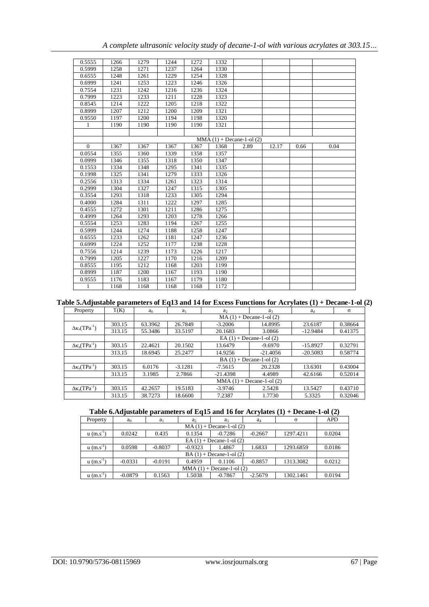| A complete ultrasonic velocity study of decane-1-ol with various acrylates at 303.15 |  |
|--------------------------------------------------------------------------------------|--|
|--------------------------------------------------------------------------------------|--|

| 0.5555         | 1266 | 1279 | 1244 | 1272 | 1332 |                           |       |      |      |
|----------------|------|------|------|------|------|---------------------------|-------|------|------|
| 0.5999         | 1258 | 1271 | 1237 | 1264 | 1330 |                           |       |      |      |
| 0.6555         | 1248 | 1261 | 1229 | 1254 | 1328 |                           |       |      |      |
| 0.6999         | 1241 | 1253 | 1223 | 1246 | 1326 |                           |       |      |      |
| 0.7554         | 1231 | 1242 | 1216 | 1236 | 1324 |                           |       |      |      |
| 0.7999         | 1223 | 1233 | 1211 | 1228 | 1323 |                           |       |      |      |
| 0.8545         | 1214 | 1222 | 1205 | 1218 | 1322 |                           |       |      |      |
| 0.8999         | 1207 | 1212 | 1200 | 1209 | 1321 |                           |       |      |      |
| 0.9550         | 1197 | 1200 | 1194 | 1198 | 1320 |                           |       |      |      |
| 1              | 1190 | 1190 | 1190 | 1190 | 1321 |                           |       |      |      |
|                |      |      |      |      |      |                           |       |      |      |
|                |      |      |      |      |      | $MMA(1) + Decane-1-ol(2)$ |       |      |      |
| $\overline{0}$ | 1367 | 1367 | 1367 | 1367 | 1368 | 2.89                      | 12.17 | 0.66 | 0.04 |
| 0.0554         | 1355 | 1360 | 1339 | 1358 | 1357 |                           |       |      |      |
| 0.0999         | 1346 | 1355 | 1318 | 1350 | 1347 |                           |       |      |      |
| 0.1553         | 1334 | 1348 | 1295 | 1341 | 1335 |                           |       |      |      |
| 0.1998         | 1325 | 1341 | 1279 | 1333 | 1326 |                           |       |      |      |
| 0.2556         | 1313 | 1334 | 1261 | 1323 | 1314 |                           |       |      |      |
| 0.2999         | 1304 | 1327 | 1247 | 1315 | 1305 |                           |       |      |      |
| 0.3554         | 1293 | 1318 | 1233 | 1305 | 1294 |                           |       |      |      |
| 0.4000         | 1284 | 1311 | 1222 | 1297 | 1285 |                           |       |      |      |
| 0.4555         | 1272 | 1301 | 1211 | 1286 | 1275 |                           |       |      |      |
| 0.4999         | 1264 | 1293 | 1203 | 1278 | 1266 |                           |       |      |      |
| 0.5554         | 1253 | 1283 | 1194 | 1267 | 1255 |                           |       |      |      |
| 0.5999         | 1244 | 1274 | 1188 | 1258 | 1247 |                           |       |      |      |
| 0.6555         | 1233 | 1262 | 1181 | 1247 | 1236 |                           |       |      |      |
| 0.6999         | 1224 | 1252 | 1177 | 1238 | 1228 |                           |       |      |      |
| 0.7556         | 1214 | 1239 | 1173 | 1226 | 1217 |                           |       |      |      |
| 0.7999         | 1205 | 1227 | 1170 | 1216 | 1209 |                           |       |      |      |
| 0.8555         | 1195 | 1212 | 1168 | 1203 | 1199 |                           |       |      |      |
| 0.8999         | 1187 | 1200 | 1167 | 1193 | 1190 |                           |       |      |      |
| 0.9555         | 1176 | 1183 | 1167 | 1179 | 1180 |                           |       |      |      |
| 1              | 1168 | 1168 | 1168 | 1168 | 1172 |                           |       |      |      |

# **Table 5.Adjustable parameters of Eq13 and 14 for Excess Functions for Acrylates (1) + Decane-1-ol (2)**

| Property                    | T(K)   | a <sub>0</sub>               | $a_1$     | $a_2$      | a <sub>3</sub> | $a_4$      | $\sigma$ |  |  |  |
|-----------------------------|--------|------------------------------|-----------|------------|----------------|------------|----------|--|--|--|
|                             |        | $MA(1) + Decane-1-ol(2)$     |           |            |                |            |          |  |  |  |
| $\Delta \kappa_s(TPa^{-1})$ | 303.15 | 63.3962                      | 26.7849   | $-3.2006$  | 14.8995        | 23.6187    | 0.38664  |  |  |  |
|                             | 313.15 | 55.3486                      | 33.5197   | 20.1683    | 3.0866         | $-12.9484$ | 0.41375  |  |  |  |
|                             |        | EA $(1)$ + Decane-1-ol $(2)$ |           |            |                |            |          |  |  |  |
| $\Delta \kappa_s(TPa^{-1})$ | 303.15 | 22.4621                      | 20.1502   | 13.6479    | $-9.6970$      | $-15.8927$ | 0.32791  |  |  |  |
|                             | 313.15 | 18.6945                      | 25.2477   | 14.9256    | $-21.4056$     | $-20.5083$ | 0.58774  |  |  |  |
|                             |        | $BA(1) + Decane-1-ol(2)$     |           |            |                |            |          |  |  |  |
| $\Delta \kappa_s(TPa^{-1})$ | 303.15 | 6.0176                       | $-3.1281$ | $-7.5615$  | 20.2328        | 13.6301    | 0.43004  |  |  |  |
|                             | 313.15 | 3.1985                       | 2.7866    | $-21.4398$ | 4.4989         | 42.6166    | 0.52014  |  |  |  |
|                             |        | $MMA(1) + Decane-1-ol(2)$    |           |            |                |            |          |  |  |  |
| $\Delta \kappa_s(TPa^{-1})$ | 303.15 | 42.2657                      | 19.5183   | $-3.9746$  | 2.5428         | 13.5427    | 0.43710  |  |  |  |
|                             | 313.15 | 38.7273                      | 18.6600   | 7.2387     | 1.7730         | 5.3325     | 0.32046  |  |  |  |

## **Table 6.Adjustable parameters of Eq15 and 16 for Acrylates (1) + Decane-1-ol (2)**

| Property                 | a <sub>0</sub>               | $a_1$     | a <sub>2</sub> | a <sub>3</sub> | $a_4$     | $\sigma$  | <b>APD</b> |  |  |  |
|--------------------------|------------------------------|-----------|----------------|----------------|-----------|-----------|------------|--|--|--|
|                          | $MA(1) + Decane-1-ol(2)$     |           |                |                |           |           |            |  |  |  |
| $u(m.s^{-1})$            | 0.0242                       | 0.435     | 0.1354         | $-0.7286$      | $-0.2667$ | 1297.4211 | 0.0204     |  |  |  |
|                          | EA $(1)$ + Decane-1-ol $(2)$ |           |                |                |           |           |            |  |  |  |
| $u(m.s^{-1})$            | 0.0598                       | $-0.8037$ | $-0.9323$      | 1.4867         | 1.6833    | 1293.6859 | 0.0186     |  |  |  |
| $BA(1) + Decane-1-ol(2)$ |                              |           |                |                |           |           |            |  |  |  |
| $u(m.s^{-1})$            | $-0.0331$                    | $-0.0191$ | 0.4959         | 0.1106         | $-0.8857$ | 1313.3082 | 0.0212     |  |  |  |
|                          | $MMA (1) + Decane-1-ol (2)$  |           |                |                |           |           |            |  |  |  |
| $u(m.s^{-1})$            | $-0.0879$                    | 0.1563    | 1.5038         | $-0.7867$      | $-2.5679$ | 1302.1461 | 0.0194     |  |  |  |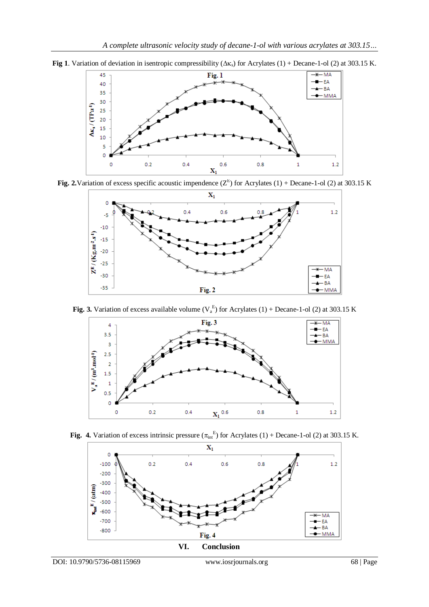

**Fig 1**. Variation of deviation in isentropic compressibility ( $\Delta \kappa$ <sub>s</sub>) for Acrylates (1) + Decane-1-ol (2) at 303.15 K.

Fig. 2. Variation of excess specific acoustic impendence  $(Z^E)$  for Acrylates (1) + Decane-1-ol (2) at 303.15 K



**Fig. 3.** Variation of excess available volume  $(V_a^E)$  for Acrylates (1) + Decane-1-ol (2) at 303.15 K



Fig. 4. Variation of excess intrinsic pressure  $(\pi_{int}^E)$  for Acrylates (1) + Decane-1-ol (2) at 303.15 K.